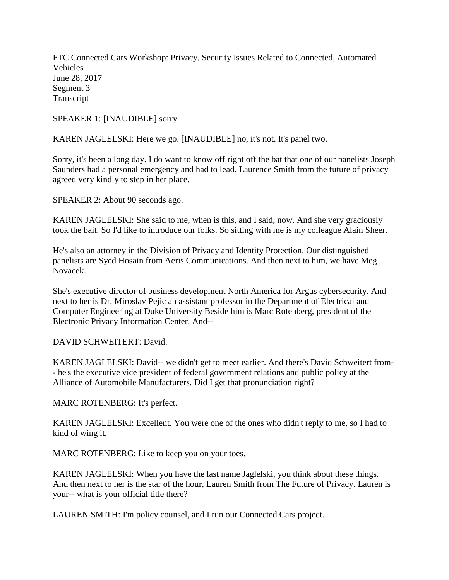FTC Connected Cars Workshop: Privacy, Security Issues Related to Connected, Automated Vehicles June 28, 2017 Segment 3 Transcript

SPEAKER 1: [INAUDIBLE] sorry.

KAREN JAGLELSKI: Here we go. [INAUDIBLE] no, it's not. It's panel two.

Sorry, it's been a long day. I do want to know off right off the bat that one of our panelists Joseph Saunders had a personal emergency and had to lead. Laurence Smith from the future of privacy agreed very kindly to step in her place.

SPEAKER 2: About 90 seconds ago.

KAREN JAGLELSKI: She said to me, when is this, and I said, now. And she very graciously took the bait. So I'd like to introduce our folks. So sitting with me is my colleague Alain Sheer.

He's also an attorney in the Division of Privacy and Identity Protection. Our distinguished panelists are Syed Hosain from Aeris Communications. And then next to him, we have Meg Novacek.

She's executive director of business development North America for Argus cybersecurity. And next to her is Dr. Miroslav Pejic an assistant professor in the Department of Electrical and Computer Engineering at Duke University Beside him is Marc Rotenberg, president of the Electronic Privacy Information Center. And--

DAVID SCHWEITERT: David.

KAREN JAGLELSKI: David-- we didn't get to meet earlier. And there's David Schweitert from- - he's the executive vice president of federal government relations and public policy at the Alliance of Automobile Manufacturers. Did I get that pronunciation right?

MARC ROTENBERG: It's perfect.

KAREN JAGLELSKI: Excellent. You were one of the ones who didn't reply to me, so I had to kind of wing it.

MARC ROTENBERG: Like to keep you on your toes.

KAREN JAGLELSKI: When you have the last name Jaglelski, you think about these things. And then next to her is the star of the hour, Lauren Smith from The Future of Privacy. Lauren is your-- what is your official title there?

LAUREN SMITH: I'm policy counsel, and I run our Connected Cars project.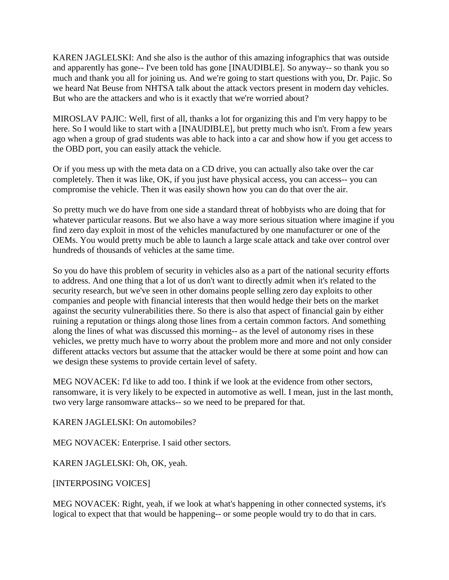KAREN JAGLELSKI: And she also is the author of this amazing infographics that was outside and apparently has gone-- I've been told has gone [INAUDIBLE]. So anyway-- so thank you so much and thank you all for joining us. And we're going to start questions with you, Dr. Pajic. So we heard Nat Beuse from NHTSA talk about the attack vectors present in modern day vehicles. But who are the attackers and who is it exactly that we're worried about?

MIROSLAV PAJIC: Well, first of all, thanks a lot for organizing this and I'm very happy to be here. So I would like to start with a [INAUDIBLE], but pretty much who isn't. From a few years ago when a group of grad students was able to hack into a car and show how if you get access to the OBD port, you can easily attack the vehicle.

Or if you mess up with the meta data on a CD drive, you can actually also take over the car completely. Then it was like, OK, if you just have physical access, you can access-- you can compromise the vehicle. Then it was easily shown how you can do that over the air.

So pretty much we do have from one side a standard threat of hobbyists who are doing that for whatever particular reasons. But we also have a way more serious situation where imagine if you find zero day exploit in most of the vehicles manufactured by one manufacturer or one of the OEMs. You would pretty much be able to launch a large scale attack and take over control over hundreds of thousands of vehicles at the same time.

So you do have this problem of security in vehicles also as a part of the national security efforts to address. And one thing that a lot of us don't want to directly admit when it's related to the security research, but we've seen in other domains people selling zero day exploits to other companies and people with financial interests that then would hedge their bets on the market against the security vulnerabilities there. So there is also that aspect of financial gain by either ruining a reputation or things along those lines from a certain common factors. And something along the lines of what was discussed this morning-- as the level of autonomy rises in these vehicles, we pretty much have to worry about the problem more and more and not only consider different attacks vectors but assume that the attacker would be there at some point and how can we design these systems to provide certain level of safety.

MEG NOVACEK: I'd like to add too. I think if we look at the evidence from other sectors, ransomware, it is very likely to be expected in automotive as well. I mean, just in the last month, two very large ransomware attacks-- so we need to be prepared for that.

KAREN JAGLELSKI: On automobiles?

MEG NOVACEK: Enterprise. I said other sectors.

KAREN JAGLELSKI: Oh, OK, yeah.

[INTERPOSING VOICES]

MEG NOVACEK: Right, yeah, if we look at what's happening in other connected systems, it's logical to expect that that would be happening-- or some people would try to do that in cars.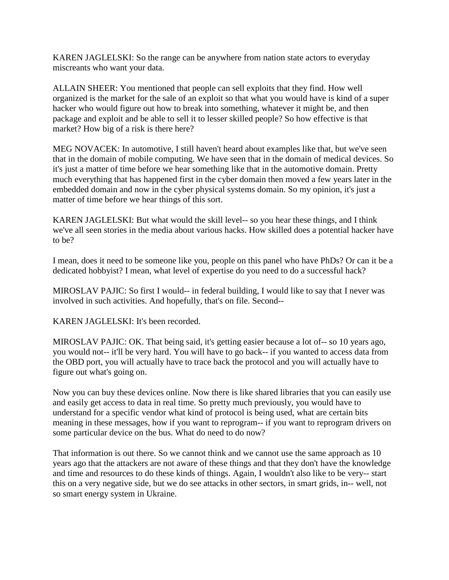KAREN JAGLELSKI: So the range can be anywhere from nation state actors to everyday miscreants who want your data.

ALLAIN SHEER: You mentioned that people can sell exploits that they find. How well organized is the market for the sale of an exploit so that what you would have is kind of a super hacker who would figure out how to break into something, whatever it might be, and then package and exploit and be able to sell it to lesser skilled people? So how effective is that market? How big of a risk is there here?

MEG NOVACEK: In automotive, I still haven't heard about examples like that, but we've seen that in the domain of mobile computing. We have seen that in the domain of medical devices. So it's just a matter of time before we hear something like that in the automotive domain. Pretty much everything that has happened first in the cyber domain then moved a few years later in the embedded domain and now in the cyber physical systems domain. So my opinion, it's just a matter of time before we hear things of this sort.

KAREN JAGLELSKI: But what would the skill level-- so you hear these things, and I think we've all seen stories in the media about various hacks. How skilled does a potential hacker have to be?

I mean, does it need to be someone like you, people on this panel who have PhDs? Or can it be a dedicated hobbyist? I mean, what level of expertise do you need to do a successful hack?

MIROSLAV PAJIC: So first I would-- in federal building, I would like to say that I never was involved in such activities. And hopefully, that's on file. Second--

KAREN JAGLELSKI: It's been recorded.

MIROSLAV PAJIC: OK. That being said, it's getting easier because a lot of-- so 10 years ago, you would not-- it'll be very hard. You will have to go back-- if you wanted to access data from the OBD port, you will actually have to trace back the protocol and you will actually have to figure out what's going on.

Now you can buy these devices online. Now there is like shared libraries that you can easily use and easily get access to data in real time. So pretty much previously, you would have to understand for a specific vendor what kind of protocol is being used, what are certain bits meaning in these messages, how if you want to reprogram-- if you want to reprogram drivers on some particular device on the bus. What do need to do now?

That information is out there. So we cannot think and we cannot use the same approach as 10 years ago that the attackers are not aware of these things and that they don't have the knowledge and time and resources to do these kinds of things. Again, I wouldn't also like to be very-- start this on a very negative side, but we do see attacks in other sectors, in smart grids, in-- well, not so smart energy system in Ukraine.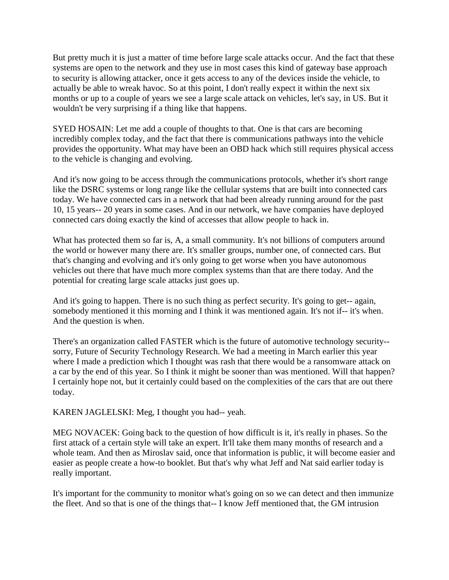But pretty much it is just a matter of time before large scale attacks occur. And the fact that these systems are open to the network and they use in most cases this kind of gateway base approach to security is allowing attacker, once it gets access to any of the devices inside the vehicle, to actually be able to wreak havoc. So at this point, I don't really expect it within the next six months or up to a couple of years we see a large scale attack on vehicles, let's say, in US. But it wouldn't be very surprising if a thing like that happens.

SYED HOSAIN: Let me add a couple of thoughts to that. One is that cars are becoming incredibly complex today, and the fact that there is communications pathways into the vehicle provides the opportunity. What may have been an OBD hack which still requires physical access to the vehicle is changing and evolving.

And it's now going to be access through the communications protocols, whether it's short range like the DSRC systems or long range like the cellular systems that are built into connected cars today. We have connected cars in a network that had been already running around for the past 10, 15 years-- 20 years in some cases. And in our network, we have companies have deployed connected cars doing exactly the kind of accesses that allow people to hack in.

What has protected them so far is, A, a small community. It's not billions of computers around the world or however many there are. It's smaller groups, number one, of connected cars. But that's changing and evolving and it's only going to get worse when you have autonomous vehicles out there that have much more complex systems than that are there today. And the potential for creating large scale attacks just goes up.

And it's going to happen. There is no such thing as perfect security. It's going to get-- again, somebody mentioned it this morning and I think it was mentioned again. It's not if-- it's when. And the question is when.

There's an organization called FASTER which is the future of automotive technology security- sorry, Future of Security Technology Research. We had a meeting in March earlier this year where I made a prediction which I thought was rash that there would be a ransomware attack on a car by the end of this year. So I think it might be sooner than was mentioned. Will that happen? I certainly hope not, but it certainly could based on the complexities of the cars that are out there today.

KAREN JAGLELSKI: Meg, I thought you had-- yeah.

MEG NOVACEK: Going back to the question of how difficult is it, it's really in phases. So the first attack of a certain style will take an expert. It'll take them many months of research and a whole team. And then as Miroslav said, once that information is public, it will become easier and easier as people create a how-to booklet. But that's why what Jeff and Nat said earlier today is really important.

It's important for the community to monitor what's going on so we can detect and then immunize the fleet. And so that is one of the things that-- I know Jeff mentioned that, the GM intrusion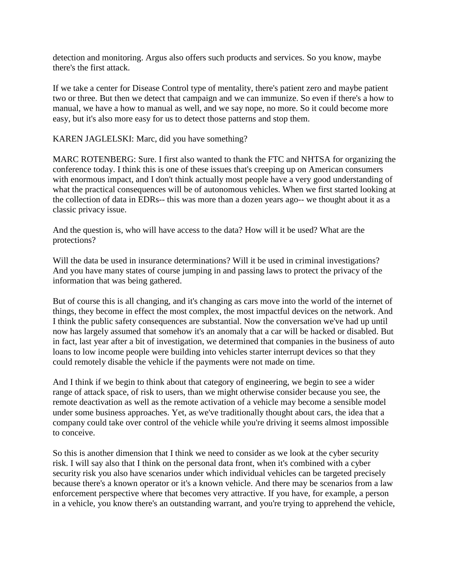detection and monitoring. Argus also offers such products and services. So you know, maybe there's the first attack.

If we take a center for Disease Control type of mentality, there's patient zero and maybe patient two or three. But then we detect that campaign and we can immunize. So even if there's a how to manual, we have a how to manual as well, and we say nope, no more. So it could become more easy, but it's also more easy for us to detect those patterns and stop them.

KAREN JAGLELSKI: Marc, did you have something?

MARC ROTENBERG: Sure. I first also wanted to thank the FTC and NHTSA for organizing the conference today. I think this is one of these issues that's creeping up on American consumers with enormous impact, and I don't think actually most people have a very good understanding of what the practical consequences will be of autonomous vehicles. When we first started looking at the collection of data in EDRs-- this was more than a dozen years ago-- we thought about it as a classic privacy issue.

And the question is, who will have access to the data? How will it be used? What are the protections?

Will the data be used in insurance determinations? Will it be used in criminal investigations? And you have many states of course jumping in and passing laws to protect the privacy of the information that was being gathered.

But of course this is all changing, and it's changing as cars move into the world of the internet of things, they become in effect the most complex, the most impactful devices on the network. And I think the public safety consequences are substantial. Now the conversation we've had up until now has largely assumed that somehow it's an anomaly that a car will be hacked or disabled. But in fact, last year after a bit of investigation, we determined that companies in the business of auto loans to low income people were building into vehicles starter interrupt devices so that they could remotely disable the vehicle if the payments were not made on time.

And I think if we begin to think about that category of engineering, we begin to see a wider range of attack space, of risk to users, than we might otherwise consider because you see, the remote deactivation as well as the remote activation of a vehicle may become a sensible model under some business approaches. Yet, as we've traditionally thought about cars, the idea that a company could take over control of the vehicle while you're driving it seems almost impossible to conceive.

So this is another dimension that I think we need to consider as we look at the cyber security risk. I will say also that I think on the personal data front, when it's combined with a cyber security risk you also have scenarios under which individual vehicles can be targeted precisely because there's a known operator or it's a known vehicle. And there may be scenarios from a law enforcement perspective where that becomes very attractive. If you have, for example, a person in a vehicle, you know there's an outstanding warrant, and you're trying to apprehend the vehicle,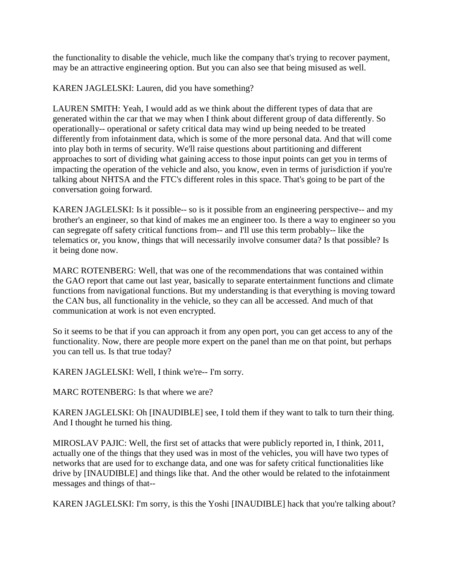the functionality to disable the vehicle, much like the company that's trying to recover payment, may be an attractive engineering option. But you can also see that being misused as well.

KAREN JAGLELSKI: Lauren, did you have something?

LAUREN SMITH: Yeah, I would add as we think about the different types of data that are generated within the car that we may when I think about different group of data differently. So operationally-- operational or safety critical data may wind up being needed to be treated differently from infotainment data, which is some of the more personal data. And that will come into play both in terms of security. We'll raise questions about partitioning and different approaches to sort of dividing what gaining access to those input points can get you in terms of impacting the operation of the vehicle and also, you know, even in terms of jurisdiction if you're talking about NHTSA and the FTC's different roles in this space. That's going to be part of the conversation going forward.

KAREN JAGLELSKI: Is it possible-- so is it possible from an engineering perspective-- and my brother's an engineer, so that kind of makes me an engineer too. Is there a way to engineer so you can segregate off safety critical functions from-- and I'll use this term probably-- like the telematics or, you know, things that will necessarily involve consumer data? Is that possible? Is it being done now.

MARC ROTENBERG: Well, that was one of the recommendations that was contained within the GAO report that came out last year, basically to separate entertainment functions and climate functions from navigational functions. But my understanding is that everything is moving toward the CAN bus, all functionality in the vehicle, so they can all be accessed. And much of that communication at work is not even encrypted.

So it seems to be that if you can approach it from any open port, you can get access to any of the functionality. Now, there are people more expert on the panel than me on that point, but perhaps you can tell us. Is that true today?

KAREN JAGLELSKI: Well, I think we're-- I'm sorry.

MARC ROTENBERG: Is that where we are?

KAREN JAGLELSKI: Oh [INAUDIBLE] see, I told them if they want to talk to turn their thing. And I thought he turned his thing.

MIROSLAV PAJIC: Well, the first set of attacks that were publicly reported in, I think, 2011, actually one of the things that they used was in most of the vehicles, you will have two types of networks that are used for to exchange data, and one was for safety critical functionalities like drive by [INAUDIBLE] and things like that. And the other would be related to the infotainment messages and things of that--

KAREN JAGLELSKI: I'm sorry, is this the Yoshi [INAUDIBLE] hack that you're talking about?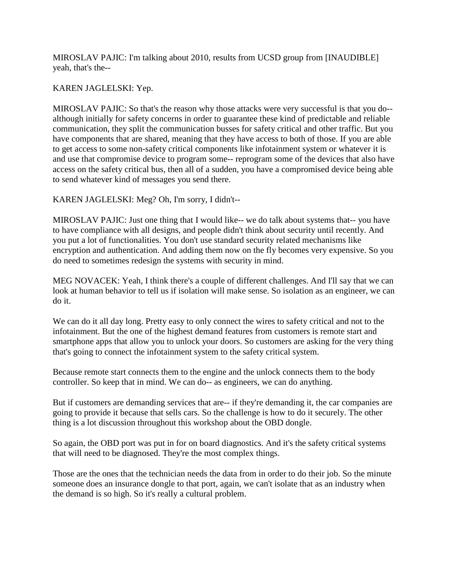MIROSLAV PAJIC: I'm talking about 2010, results from UCSD group from [INAUDIBLE] yeah, that's the--

## KAREN JAGLELSKI: Yep.

MIROSLAV PAJIC: So that's the reason why those attacks were very successful is that you do- although initially for safety concerns in order to guarantee these kind of predictable and reliable communication, they split the communication busses for safety critical and other traffic. But you have components that are shared, meaning that they have access to both of those. If you are able to get access to some non-safety critical components like infotainment system or whatever it is and use that compromise device to program some-- reprogram some of the devices that also have access on the safety critical bus, then all of a sudden, you have a compromised device being able to send whatever kind of messages you send there.

KAREN JAGLELSKI: Meg? Oh, I'm sorry, I didn't--

MIROSLAV PAJIC: Just one thing that I would like-- we do talk about systems that-- you have to have compliance with all designs, and people didn't think about security until recently. And you put a lot of functionalities. You don't use standard security related mechanisms like encryption and authentication. And adding them now on the fly becomes very expensive. So you do need to sometimes redesign the systems with security in mind.

MEG NOVACEK: Yeah, I think there's a couple of different challenges. And I'll say that we can look at human behavior to tell us if isolation will make sense. So isolation as an engineer, we can do it.

We can do it all day long. Pretty easy to only connect the wires to safety critical and not to the infotainment. But the one of the highest demand features from customers is remote start and smartphone apps that allow you to unlock your doors. So customers are asking for the very thing that's going to connect the infotainment system to the safety critical system.

Because remote start connects them to the engine and the unlock connects them to the body controller. So keep that in mind. We can do-- as engineers, we can do anything.

But if customers are demanding services that are-- if they're demanding it, the car companies are going to provide it because that sells cars. So the challenge is how to do it securely. The other thing is a lot discussion throughout this workshop about the OBD dongle.

So again, the OBD port was put in for on board diagnostics. And it's the safety critical systems that will need to be diagnosed. They're the most complex things.

Those are the ones that the technician needs the data from in order to do their job. So the minute someone does an insurance dongle to that port, again, we can't isolate that as an industry when the demand is so high. So it's really a cultural problem.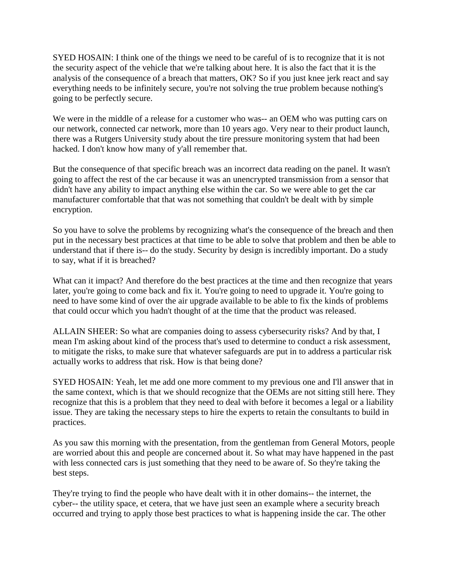SYED HOSAIN: I think one of the things we need to be careful of is to recognize that it is not the security aspect of the vehicle that we're talking about here. It is also the fact that it is the analysis of the consequence of a breach that matters, OK? So if you just knee jerk react and say everything needs to be infinitely secure, you're not solving the true problem because nothing's going to be perfectly secure.

We were in the middle of a release for a customer who was-- an OEM who was putting cars on our network, connected car network, more than 10 years ago. Very near to their product launch, there was a Rutgers University study about the tire pressure monitoring system that had been hacked. I don't know how many of y'all remember that.

But the consequence of that specific breach was an incorrect data reading on the panel. It wasn't going to affect the rest of the car because it was an unencrypted transmission from a sensor that didn't have any ability to impact anything else within the car. So we were able to get the car manufacturer comfortable that that was not something that couldn't be dealt with by simple encryption.

So you have to solve the problems by recognizing what's the consequence of the breach and then put in the necessary best practices at that time to be able to solve that problem and then be able to understand that if there is-- do the study. Security by design is incredibly important. Do a study to say, what if it is breached?

What can it impact? And therefore do the best practices at the time and then recognize that years later, you're going to come back and fix it. You're going to need to upgrade it. You're going to need to have some kind of over the air upgrade available to be able to fix the kinds of problems that could occur which you hadn't thought of at the time that the product was released.

ALLAIN SHEER: So what are companies doing to assess cybersecurity risks? And by that, I mean I'm asking about kind of the process that's used to determine to conduct a risk assessment, to mitigate the risks, to make sure that whatever safeguards are put in to address a particular risk actually works to address that risk. How is that being done?

SYED HOSAIN: Yeah, let me add one more comment to my previous one and I'll answer that in the same context, which is that we should recognize that the OEMs are not sitting still here. They recognize that this is a problem that they need to deal with before it becomes a legal or a liability issue. They are taking the necessary steps to hire the experts to retain the consultants to build in practices.

As you saw this morning with the presentation, from the gentleman from General Motors, people are worried about this and people are concerned about it. So what may have happened in the past with less connected cars is just something that they need to be aware of. So they're taking the best steps.

They're trying to find the people who have dealt with it in other domains-- the internet, the cyber-- the utility space, et cetera, that we have just seen an example where a security breach occurred and trying to apply those best practices to what is happening inside the car. The other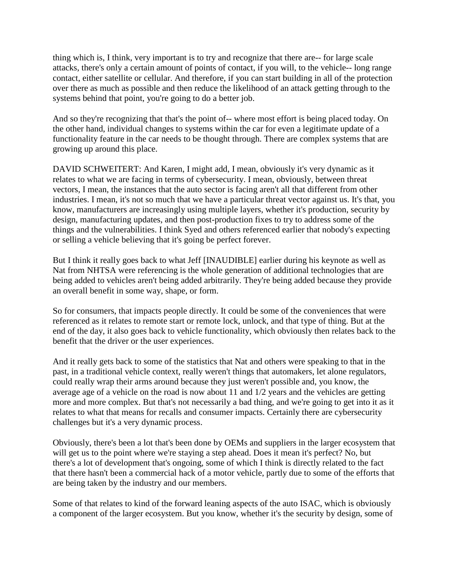thing which is, I think, very important is to try and recognize that there are-- for large scale attacks, there's only a certain amount of points of contact, if you will, to the vehicle-- long range contact, either satellite or cellular. And therefore, if you can start building in all of the protection over there as much as possible and then reduce the likelihood of an attack getting through to the systems behind that point, you're going to do a better job.

And so they're recognizing that that's the point of-- where most effort is being placed today. On the other hand, individual changes to systems within the car for even a legitimate update of a functionality feature in the car needs to be thought through. There are complex systems that are growing up around this place.

DAVID SCHWEITERT: And Karen, I might add, I mean, obviously it's very dynamic as it relates to what we are facing in terms of cybersecurity. I mean, obviously, between threat vectors, I mean, the instances that the auto sector is facing aren't all that different from other industries. I mean, it's not so much that we have a particular threat vector against us. It's that, you know, manufacturers are increasingly using multiple layers, whether it's production, security by design, manufacturing updates, and then post-production fixes to try to address some of the things and the vulnerabilities. I think Syed and others referenced earlier that nobody's expecting or selling a vehicle believing that it's going be perfect forever.

But I think it really goes back to what Jeff [INAUDIBLE] earlier during his keynote as well as Nat from NHTSA were referencing is the whole generation of additional technologies that are being added to vehicles aren't being added arbitrarily. They're being added because they provide an overall benefit in some way, shape, or form.

So for consumers, that impacts people directly. It could be some of the conveniences that were referenced as it relates to remote start or remote lock, unlock, and that type of thing. But at the end of the day, it also goes back to vehicle functionality, which obviously then relates back to the benefit that the driver or the user experiences.

And it really gets back to some of the statistics that Nat and others were speaking to that in the past, in a traditional vehicle context, really weren't things that automakers, let alone regulators, could really wrap their arms around because they just weren't possible and, you know, the average age of a vehicle on the road is now about 11 and 1/2 years and the vehicles are getting more and more complex. But that's not necessarily a bad thing, and we're going to get into it as it relates to what that means for recalls and consumer impacts. Certainly there are cybersecurity challenges but it's a very dynamic process.

Obviously, there's been a lot that's been done by OEMs and suppliers in the larger ecosystem that will get us to the point where we're staying a step ahead. Does it mean it's perfect? No, but there's a lot of development that's ongoing, some of which I think is directly related to the fact that there hasn't been a commercial hack of a motor vehicle, partly due to some of the efforts that are being taken by the industry and our members.

Some of that relates to kind of the forward leaning aspects of the auto ISAC, which is obviously a component of the larger ecosystem. But you know, whether it's the security by design, some of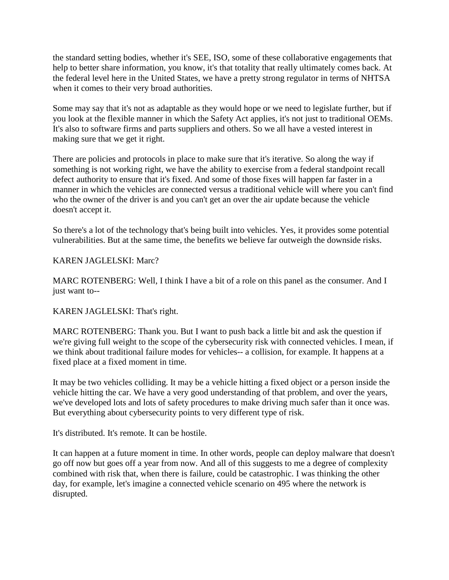the standard setting bodies, whether it's SEE, ISO, some of these collaborative engagements that help to better share information, you know, it's that totality that really ultimately comes back. At the federal level here in the United States, we have a pretty strong regulator in terms of NHTSA when it comes to their very broad authorities.

Some may say that it's not as adaptable as they would hope or we need to legislate further, but if you look at the flexible manner in which the Safety Act applies, it's not just to traditional OEMs. It's also to software firms and parts suppliers and others. So we all have a vested interest in making sure that we get it right.

There are policies and protocols in place to make sure that it's iterative. So along the way if something is not working right, we have the ability to exercise from a federal standpoint recall defect authority to ensure that it's fixed. And some of those fixes will happen far faster in a manner in which the vehicles are connected versus a traditional vehicle will where you can't find who the owner of the driver is and you can't get an over the air update because the vehicle doesn't accept it.

So there's a lot of the technology that's being built into vehicles. Yes, it provides some potential vulnerabilities. But at the same time, the benefits we believe far outweigh the downside risks.

## KAREN JAGLELSKI: Marc?

MARC ROTENBERG: Well, I think I have a bit of a role on this panel as the consumer. And I just want to--

#### KAREN JAGLELSKI: That's right.

MARC ROTENBERG: Thank you. But I want to push back a little bit and ask the question if we're giving full weight to the scope of the cybersecurity risk with connected vehicles. I mean, if we think about traditional failure modes for vehicles-- a collision, for example. It happens at a fixed place at a fixed moment in time.

It may be two vehicles colliding. It may be a vehicle hitting a fixed object or a person inside the vehicle hitting the car. We have a very good understanding of that problem, and over the years, we've developed lots and lots of safety procedures to make driving much safer than it once was. But everything about cybersecurity points to very different type of risk.

It's distributed. It's remote. It can be hostile.

It can happen at a future moment in time. In other words, people can deploy malware that doesn't go off now but goes off a year from now. And all of this suggests to me a degree of complexity combined with risk that, when there is failure, could be catastrophic. I was thinking the other day, for example, let's imagine a connected vehicle scenario on 495 where the network is disrupted.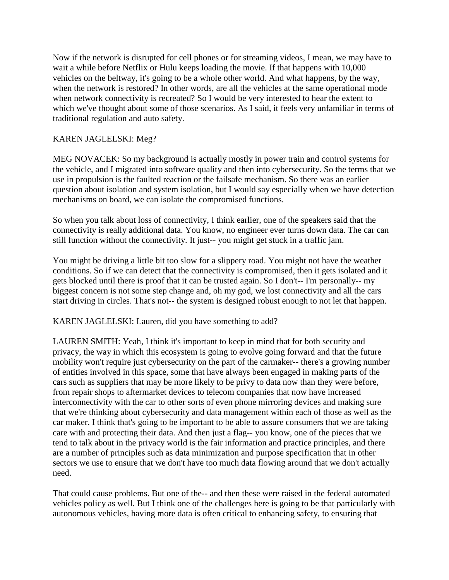Now if the network is disrupted for cell phones or for streaming videos, I mean, we may have to wait a while before Netflix or Hulu keeps loading the movie. If that happens with 10,000 vehicles on the beltway, it's going to be a whole other world. And what happens, by the way, when the network is restored? In other words, are all the vehicles at the same operational mode when network connectivity is recreated? So I would be very interested to hear the extent to which we've thought about some of those scenarios. As I said, it feels very unfamiliar in terms of traditional regulation and auto safety.

# KAREN JAGLELSKI: Meg?

MEG NOVACEK: So my background is actually mostly in power train and control systems for the vehicle, and I migrated into software quality and then into cybersecurity. So the terms that we use in propulsion is the faulted reaction or the failsafe mechanism. So there was an earlier question about isolation and system isolation, but I would say especially when we have detection mechanisms on board, we can isolate the compromised functions.

So when you talk about loss of connectivity, I think earlier, one of the speakers said that the connectivity is really additional data. You know, no engineer ever turns down data. The car can still function without the connectivity. It just-- you might get stuck in a traffic jam.

You might be driving a little bit too slow for a slippery road. You might not have the weather conditions. So if we can detect that the connectivity is compromised, then it gets isolated and it gets blocked until there is proof that it can be trusted again. So I don't-- I'm personally-- my biggest concern is not some step change and, oh my god, we lost connectivity and all the cars start driving in circles. That's not-- the system is designed robust enough to not let that happen.

KAREN JAGLELSKI: Lauren, did you have something to add?

LAUREN SMITH: Yeah, I think it's important to keep in mind that for both security and privacy, the way in which this ecosystem is going to evolve going forward and that the future mobility won't require just cybersecurity on the part of the carmaker-- there's a growing number of entities involved in this space, some that have always been engaged in making parts of the cars such as suppliers that may be more likely to be privy to data now than they were before, from repair shops to aftermarket devices to telecom companies that now have increased interconnectivity with the car to other sorts of even phone mirroring devices and making sure that we're thinking about cybersecurity and data management within each of those as well as the car maker. I think that's going to be important to be able to assure consumers that we are taking care with and protecting their data. And then just a flag-- you know, one of the pieces that we tend to talk about in the privacy world is the fair information and practice principles, and there are a number of principles such as data minimization and purpose specification that in other sectors we use to ensure that we don't have too much data flowing around that we don't actually need.

That could cause problems. But one of the-- and then these were raised in the federal automated vehicles policy as well. But I think one of the challenges here is going to be that particularly with autonomous vehicles, having more data is often critical to enhancing safety, to ensuring that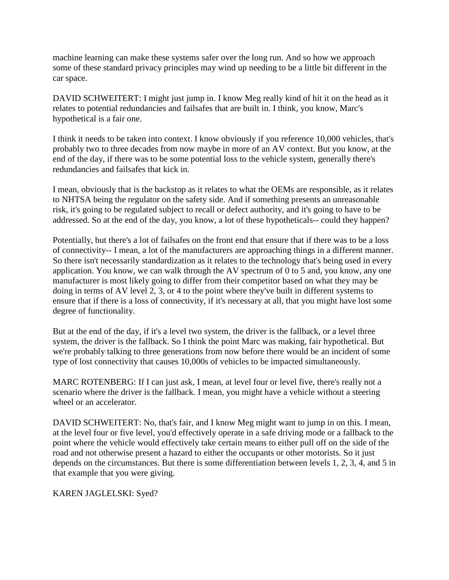machine learning can make these systems safer over the long run. And so how we approach some of these standard privacy principles may wind up needing to be a little bit different in the car space.

DAVID SCHWEITERT: I might just jump in. I know Meg really kind of hit it on the head as it relates to potential redundancies and failsafes that are built in. I think, you know, Marc's hypothetical is a fair one.

I think it needs to be taken into context. I know obviously if you reference 10,000 vehicles, that's probably two to three decades from now maybe in more of an AV context. But you know, at the end of the day, if there was to be some potential loss to the vehicle system, generally there's redundancies and failsafes that kick in.

I mean, obviously that is the backstop as it relates to what the OEMs are responsible, as it relates to NHTSA being the regulator on the safety side. And if something presents an unreasonable risk, it's going to be regulated subject to recall or defect authority, and it's going to have to be addressed. So at the end of the day, you know, a lot of these hypotheticals-- could they happen?

Potentially, but there's a lot of failsafes on the front end that ensure that if there was to be a loss of connectivity-- I mean, a lot of the manufacturers are approaching things in a different manner. So there isn't necessarily standardization as it relates to the technology that's being used in every application. You know, we can walk through the AV spectrum of 0 to 5 and, you know, any one manufacturer is most likely going to differ from their competitor based on what they may be doing in terms of AV level 2, 3, or 4 to the point where they've built in different systems to ensure that if there is a loss of connectivity, if it's necessary at all, that you might have lost some degree of functionality.

But at the end of the day, if it's a level two system, the driver is the fallback, or a level three system, the driver is the fallback. So I think the point Marc was making, fair hypothetical. But we're probably talking to three generations from now before there would be an incident of some type of lost connectivity that causes 10,000s of vehicles to be impacted simultaneously.

MARC ROTENBERG: If I can just ask, I mean, at level four or level five, there's really not a scenario where the driver is the fallback. I mean, you might have a vehicle without a steering wheel or an accelerator.

DAVID SCHWEITERT: No, that's fair, and I know Meg might want to jump in on this. I mean, at the level four or five level, you'd effectively operate in a safe driving mode or a fallback to the point where the vehicle would effectively take certain means to either pull off on the side of the road and not otherwise present a hazard to either the occupants or other motorists. So it just depends on the circumstances. But there is some differentiation between levels 1, 2, 3, 4, and 5 in that example that you were giving.

KAREN JAGLELSKI: Syed?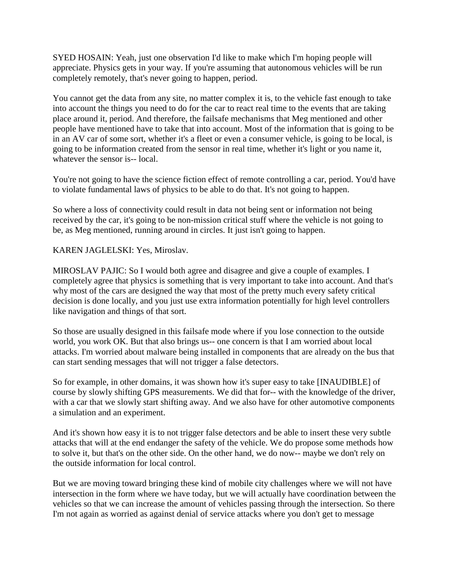SYED HOSAIN: Yeah, just one observation I'd like to make which I'm hoping people will appreciate. Physics gets in your way. If you're assuming that autonomous vehicles will be run completely remotely, that's never going to happen, period.

You cannot get the data from any site, no matter complex it is, to the vehicle fast enough to take into account the things you need to do for the car to react real time to the events that are taking place around it, period. And therefore, the failsafe mechanisms that Meg mentioned and other people have mentioned have to take that into account. Most of the information that is going to be in an AV car of some sort, whether it's a fleet or even a consumer vehicle, is going to be local, is going to be information created from the sensor in real time, whether it's light or you name it, whatever the sensor is-- local.

You're not going to have the science fiction effect of remote controlling a car, period. You'd have to violate fundamental laws of physics to be able to do that. It's not going to happen.

So where a loss of connectivity could result in data not being sent or information not being received by the car, it's going to be non-mission critical stuff where the vehicle is not going to be, as Meg mentioned, running around in circles. It just isn't going to happen.

KAREN JAGLELSKI: Yes, Miroslav.

MIROSLAV PAJIC: So I would both agree and disagree and give a couple of examples. I completely agree that physics is something that is very important to take into account. And that's why most of the cars are designed the way that most of the pretty much every safety critical decision is done locally, and you just use extra information potentially for high level controllers like navigation and things of that sort.

So those are usually designed in this failsafe mode where if you lose connection to the outside world, you work OK. But that also brings us-- one concern is that I am worried about local attacks. I'm worried about malware being installed in components that are already on the bus that can start sending messages that will not trigger a false detectors.

So for example, in other domains, it was shown how it's super easy to take [INAUDIBLE] of course by slowly shifting GPS measurements. We did that for-- with the knowledge of the driver, with a car that we slowly start shifting away. And we also have for other automotive components a simulation and an experiment.

And it's shown how easy it is to not trigger false detectors and be able to insert these very subtle attacks that will at the end endanger the safety of the vehicle. We do propose some methods how to solve it, but that's on the other side. On the other hand, we do now-- maybe we don't rely on the outside information for local control.

But we are moving toward bringing these kind of mobile city challenges where we will not have intersection in the form where we have today, but we will actually have coordination between the vehicles so that we can increase the amount of vehicles passing through the intersection. So there I'm not again as worried as against denial of service attacks where you don't get to message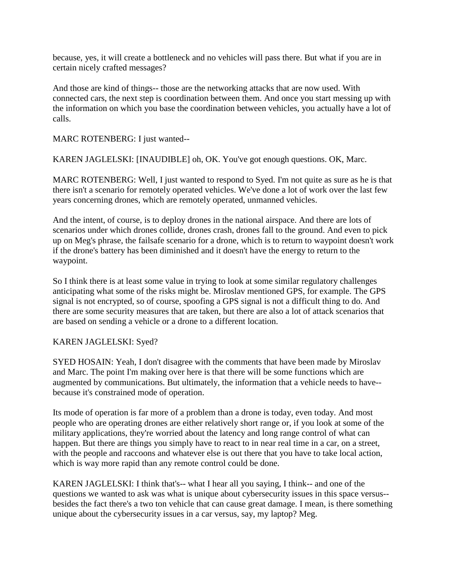because, yes, it will create a bottleneck and no vehicles will pass there. But what if you are in certain nicely crafted messages?

And those are kind of things-- those are the networking attacks that are now used. With connected cars, the next step is coordination between them. And once you start messing up with the information on which you base the coordination between vehicles, you actually have a lot of calls.

MARC ROTENBERG: I just wanted--

KAREN JAGLELSKI: [INAUDIBLE] oh, OK. You've got enough questions. OK, Marc.

MARC ROTENBERG: Well, I just wanted to respond to Syed. I'm not quite as sure as he is that there isn't a scenario for remotely operated vehicles. We've done a lot of work over the last few years concerning drones, which are remotely operated, unmanned vehicles.

And the intent, of course, is to deploy drones in the national airspace. And there are lots of scenarios under which drones collide, drones crash, drones fall to the ground. And even to pick up on Meg's phrase, the failsafe scenario for a drone, which is to return to waypoint doesn't work if the drone's battery has been diminished and it doesn't have the energy to return to the waypoint.

So I think there is at least some value in trying to look at some similar regulatory challenges anticipating what some of the risks might be. Miroslav mentioned GPS, for example. The GPS signal is not encrypted, so of course, spoofing a GPS signal is not a difficult thing to do. And there are some security measures that are taken, but there are also a lot of attack scenarios that are based on sending a vehicle or a drone to a different location.

#### KAREN JAGLELSKI: Syed?

SYED HOSAIN: Yeah, I don't disagree with the comments that have been made by Miroslav and Marc. The point I'm making over here is that there will be some functions which are augmented by communications. But ultimately, the information that a vehicle needs to have- because it's constrained mode of operation.

Its mode of operation is far more of a problem than a drone is today, even today. And most people who are operating drones are either relatively short range or, if you look at some of the military applications, they're worried about the latency and long range control of what can happen. But there are things you simply have to react to in near real time in a car, on a street, with the people and raccoons and whatever else is out there that you have to take local action, which is way more rapid than any remote control could be done.

KAREN JAGLELSKI: I think that's-- what I hear all you saying, I think-- and one of the questions we wanted to ask was what is unique about cybersecurity issues in this space versus- besides the fact there's a two ton vehicle that can cause great damage. I mean, is there something unique about the cybersecurity issues in a car versus, say, my laptop? Meg.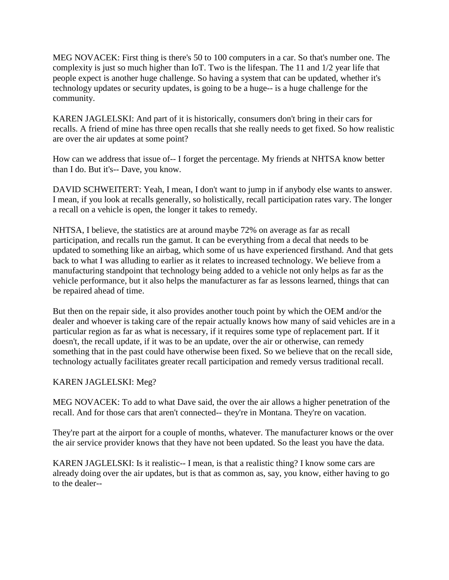MEG NOVACEK: First thing is there's 50 to 100 computers in a car. So that's number one. The complexity is just so much higher than IoT. Two is the lifespan. The 11 and 1/2 year life that people expect is another huge challenge. So having a system that can be updated, whether it's technology updates or security updates, is going to be a huge-- is a huge challenge for the community.

KAREN JAGLELSKI: And part of it is historically, consumers don't bring in their cars for recalls. A friend of mine has three open recalls that she really needs to get fixed. So how realistic are over the air updates at some point?

How can we address that issue of-- I forget the percentage. My friends at NHTSA know better than I do. But it's-- Dave, you know.

DAVID SCHWEITERT: Yeah, I mean, I don't want to jump in if anybody else wants to answer. I mean, if you look at recalls generally, so holistically, recall participation rates vary. The longer a recall on a vehicle is open, the longer it takes to remedy.

NHTSA, I believe, the statistics are at around maybe 72% on average as far as recall participation, and recalls run the gamut. It can be everything from a decal that needs to be updated to something like an airbag, which some of us have experienced firsthand. And that gets back to what I was alluding to earlier as it relates to increased technology. We believe from a manufacturing standpoint that technology being added to a vehicle not only helps as far as the vehicle performance, but it also helps the manufacturer as far as lessons learned, things that can be repaired ahead of time.

But then on the repair side, it also provides another touch point by which the OEM and/or the dealer and whoever is taking care of the repair actually knows how many of said vehicles are in a particular region as far as what is necessary, if it requires some type of replacement part. If it doesn't, the recall update, if it was to be an update, over the air or otherwise, can remedy something that in the past could have otherwise been fixed. So we believe that on the recall side, technology actually facilitates greater recall participation and remedy versus traditional recall.

# KAREN JAGLELSKI: Meg?

MEG NOVACEK: To add to what Dave said, the over the air allows a higher penetration of the recall. And for those cars that aren't connected-- they're in Montana. They're on vacation.

They're part at the airport for a couple of months, whatever. The manufacturer knows or the over the air service provider knows that they have not been updated. So the least you have the data.

KAREN JAGLELSKI: Is it realistic-- I mean, is that a realistic thing? I know some cars are already doing over the air updates, but is that as common as, say, you know, either having to go to the dealer--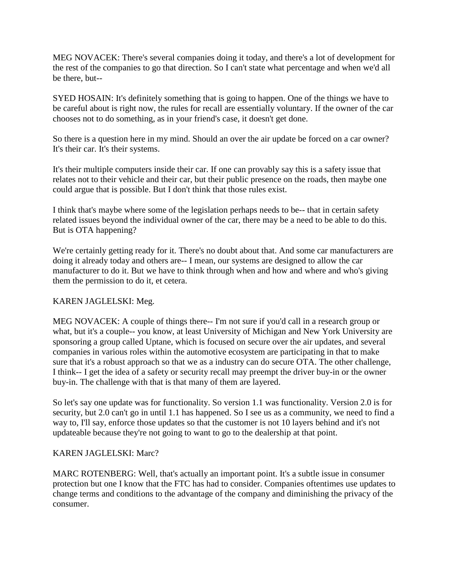MEG NOVACEK: There's several companies doing it today, and there's a lot of development for the rest of the companies to go that direction. So I can't state what percentage and when we'd all be there, but--

SYED HOSAIN: It's definitely something that is going to happen. One of the things we have to be careful about is right now, the rules for recall are essentially voluntary. If the owner of the car chooses not to do something, as in your friend's case, it doesn't get done.

So there is a question here in my mind. Should an over the air update be forced on a car owner? It's their car. It's their systems.

It's their multiple computers inside their car. If one can provably say this is a safety issue that relates not to their vehicle and their car, but their public presence on the roads, then maybe one could argue that is possible. But I don't think that those rules exist.

I think that's maybe where some of the legislation perhaps needs to be-- that in certain safety related issues beyond the individual owner of the car, there may be a need to be able to do this. But is OTA happening?

We're certainly getting ready for it. There's no doubt about that. And some car manufacturers are doing it already today and others are-- I mean, our systems are designed to allow the car manufacturer to do it. But we have to think through when and how and where and who's giving them the permission to do it, et cetera.

#### KAREN JAGLELSKI: Meg.

MEG NOVACEK: A couple of things there-- I'm not sure if you'd call in a research group or what, but it's a couple-- you know, at least University of Michigan and New York University are sponsoring a group called Uptane, which is focused on secure over the air updates, and several companies in various roles within the automotive ecosystem are participating in that to make sure that it's a robust approach so that we as a industry can do secure OTA. The other challenge, I think-- I get the idea of a safety or security recall may preempt the driver buy-in or the owner buy-in. The challenge with that is that many of them are layered.

So let's say one update was for functionality. So version 1.1 was functionality. Version 2.0 is for security, but 2.0 can't go in until 1.1 has happened. So I see us as a community, we need to find a way to, I'll say, enforce those updates so that the customer is not 10 layers behind and it's not updateable because they're not going to want to go to the dealership at that point.

# KAREN JAGLELSKI: Marc?

MARC ROTENBERG: Well, that's actually an important point. It's a subtle issue in consumer protection but one I know that the FTC has had to consider. Companies oftentimes use updates to change terms and conditions to the advantage of the company and diminishing the privacy of the consumer.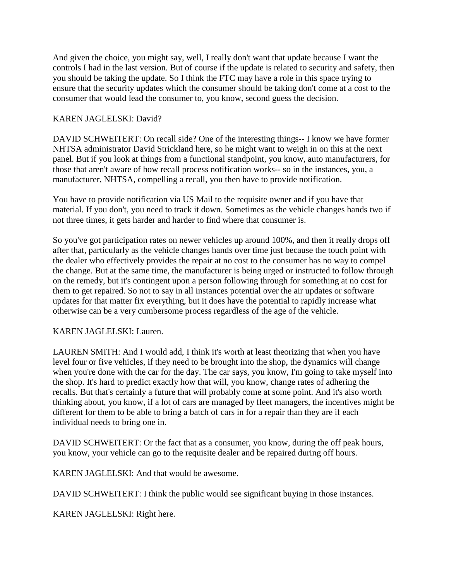And given the choice, you might say, well, I really don't want that update because I want the controls I had in the last version. But of course if the update is related to security and safety, then you should be taking the update. So I think the FTC may have a role in this space trying to ensure that the security updates which the consumer should be taking don't come at a cost to the consumer that would lead the consumer to, you know, second guess the decision.

## KAREN JAGLELSKI: David?

DAVID SCHWEITERT: On recall side? One of the interesting things-- I know we have former NHTSA administrator David Strickland here, so he might want to weigh in on this at the next panel. But if you look at things from a functional standpoint, you know, auto manufacturers, for those that aren't aware of how recall process notification works-- so in the instances, you, a manufacturer, NHTSA, compelling a recall, you then have to provide notification.

You have to provide notification via US Mail to the requisite owner and if you have that material. If you don't, you need to track it down. Sometimes as the vehicle changes hands two if not three times, it gets harder and harder to find where that consumer is.

So you've got participation rates on newer vehicles up around 100%, and then it really drops off after that, particularly as the vehicle changes hands over time just because the touch point with the dealer who effectively provides the repair at no cost to the consumer has no way to compel the change. But at the same time, the manufacturer is being urged or instructed to follow through on the remedy, but it's contingent upon a person following through for something at no cost for them to get repaired. So not to say in all instances potential over the air updates or software updates for that matter fix everything, but it does have the potential to rapidly increase what otherwise can be a very cumbersome process regardless of the age of the vehicle.

#### KAREN JAGLELSKI: Lauren.

LAUREN SMITH: And I would add, I think it's worth at least theorizing that when you have level four or five vehicles, if they need to be brought into the shop, the dynamics will change when you're done with the car for the day. The car says, you know, I'm going to take myself into the shop. It's hard to predict exactly how that will, you know, change rates of adhering the recalls. But that's certainly a future that will probably come at some point. And it's also worth thinking about, you know, if a lot of cars are managed by fleet managers, the incentives might be different for them to be able to bring a batch of cars in for a repair than they are if each individual needs to bring one in.

DAVID SCHWEITERT: Or the fact that as a consumer, you know, during the off peak hours, you know, your vehicle can go to the requisite dealer and be repaired during off hours.

KAREN JAGLELSKI: And that would be awesome.

DAVID SCHWEITERT: I think the public would see significant buying in those instances.

KAREN JAGLELSKI: Right here.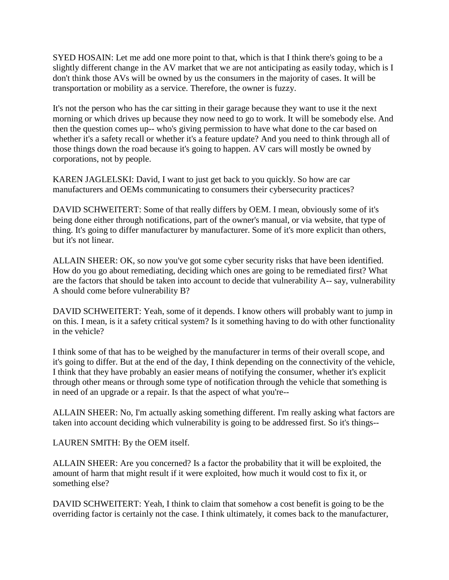SYED HOSAIN: Let me add one more point to that, which is that I think there's going to be a slightly different change in the AV market that we are not anticipating as easily today, which is I don't think those AVs will be owned by us the consumers in the majority of cases. It will be transportation or mobility as a service. Therefore, the owner is fuzzy.

It's not the person who has the car sitting in their garage because they want to use it the next morning or which drives up because they now need to go to work. It will be somebody else. And then the question comes up-- who's giving permission to have what done to the car based on whether it's a safety recall or whether it's a feature update? And you need to think through all of those things down the road because it's going to happen. AV cars will mostly be owned by corporations, not by people.

KAREN JAGLELSKI: David, I want to just get back to you quickly. So how are car manufacturers and OEMs communicating to consumers their cybersecurity practices?

DAVID SCHWEITERT: Some of that really differs by OEM. I mean, obviously some of it's being done either through notifications, part of the owner's manual, or via website, that type of thing. It's going to differ manufacturer by manufacturer. Some of it's more explicit than others, but it's not linear.

ALLAIN SHEER: OK, so now you've got some cyber security risks that have been identified. How do you go about remediating, deciding which ones are going to be remediated first? What are the factors that should be taken into account to decide that vulnerability A-- say, vulnerability A should come before vulnerability B?

DAVID SCHWEITERT: Yeah, some of it depends. I know others will probably want to jump in on this. I mean, is it a safety critical system? Is it something having to do with other functionality in the vehicle?

I think some of that has to be weighed by the manufacturer in terms of their overall scope, and it's going to differ. But at the end of the day, I think depending on the connectivity of the vehicle, I think that they have probably an easier means of notifying the consumer, whether it's explicit through other means or through some type of notification through the vehicle that something is in need of an upgrade or a repair. Is that the aspect of what you're--

ALLAIN SHEER: No, I'm actually asking something different. I'm really asking what factors are taken into account deciding which vulnerability is going to be addressed first. So it's things--

LAUREN SMITH: By the OEM itself.

ALLAIN SHEER: Are you concerned? Is a factor the probability that it will be exploited, the amount of harm that might result if it were exploited, how much it would cost to fix it, or something else?

DAVID SCHWEITERT: Yeah, I think to claim that somehow a cost benefit is going to be the overriding factor is certainly not the case. I think ultimately, it comes back to the manufacturer,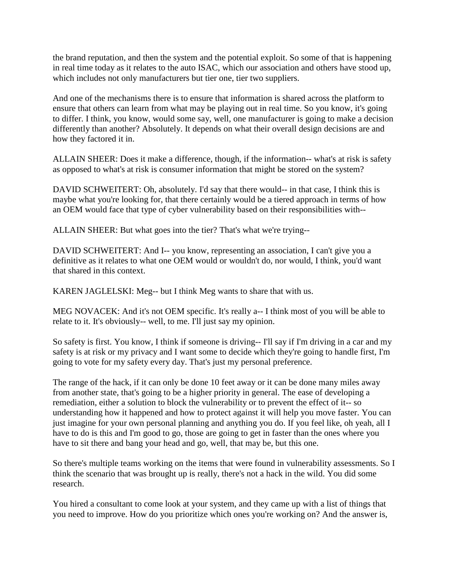the brand reputation, and then the system and the potential exploit. So some of that is happening in real time today as it relates to the auto ISAC, which our association and others have stood up, which includes not only manufacturers but tier one, tier two suppliers.

And one of the mechanisms there is to ensure that information is shared across the platform to ensure that others can learn from what may be playing out in real time. So you know, it's going to differ. I think, you know, would some say, well, one manufacturer is going to make a decision differently than another? Absolutely. It depends on what their overall design decisions are and how they factored it in.

ALLAIN SHEER: Does it make a difference, though, if the information-- what's at risk is safety as opposed to what's at risk is consumer information that might be stored on the system?

DAVID SCHWEITERT: Oh, absolutely. I'd say that there would-- in that case, I think this is maybe what you're looking for, that there certainly would be a tiered approach in terms of how an OEM would face that type of cyber vulnerability based on their responsibilities with--

ALLAIN SHEER: But what goes into the tier? That's what we're trying--

DAVID SCHWEITERT: And I-- you know, representing an association, I can't give you a definitive as it relates to what one OEM would or wouldn't do, nor would, I think, you'd want that shared in this context.

KAREN JAGLELSKI: Meg-- but I think Meg wants to share that with us.

MEG NOVACEK: And it's not OEM specific. It's really a-- I think most of you will be able to relate to it. It's obviously-- well, to me. I'll just say my opinion.

So safety is first. You know, I think if someone is driving-- I'll say if I'm driving in a car and my safety is at risk or my privacy and I want some to decide which they're going to handle first, I'm going to vote for my safety every day. That's just my personal preference.

The range of the hack, if it can only be done 10 feet away or it can be done many miles away from another state, that's going to be a higher priority in general. The ease of developing a remediation, either a solution to block the vulnerability or to prevent the effect of it-- so understanding how it happened and how to protect against it will help you move faster. You can just imagine for your own personal planning and anything you do. If you feel like, oh yeah, all I have to do is this and I'm good to go, those are going to get in faster than the ones where you have to sit there and bang your head and go, well, that may be, but this one.

So there's multiple teams working on the items that were found in vulnerability assessments. So I think the scenario that was brought up is really, there's not a hack in the wild. You did some research.

You hired a consultant to come look at your system, and they came up with a list of things that you need to improve. How do you prioritize which ones you're working on? And the answer is,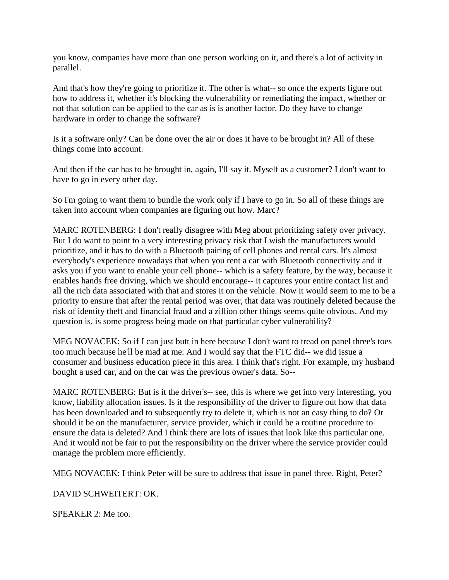you know, companies have more than one person working on it, and there's a lot of activity in parallel.

And that's how they're going to prioritize it. The other is what-- so once the experts figure out how to address it, whether it's blocking the vulnerability or remediating the impact, whether or not that solution can be applied to the car as is is another factor. Do they have to change hardware in order to change the software?

Is it a software only? Can be done over the air or does it have to be brought in? All of these things come into account.

And then if the car has to be brought in, again, I'll say it. Myself as a customer? I don't want to have to go in every other day.

So I'm going to want them to bundle the work only if I have to go in. So all of these things are taken into account when companies are figuring out how. Marc?

MARC ROTENBERG: I don't really disagree with Meg about prioritizing safety over privacy. But I do want to point to a very interesting privacy risk that I wish the manufacturers would prioritize, and it has to do with a Bluetooth pairing of cell phones and rental cars. It's almost everybody's experience nowadays that when you rent a car with Bluetooth connectivity and it asks you if you want to enable your cell phone-- which is a safety feature, by the way, because it enables hands free driving, which we should encourage-- it captures your entire contact list and all the rich data associated with that and stores it on the vehicle. Now it would seem to me to be a priority to ensure that after the rental period was over, that data was routinely deleted because the risk of identity theft and financial fraud and a zillion other things seems quite obvious. And my question is, is some progress being made on that particular cyber vulnerability?

MEG NOVACEK: So if I can just butt in here because I don't want to tread on panel three's toes too much because he'll be mad at me. And I would say that the FTC did-- we did issue a consumer and business education piece in this area. I think that's right. For example, my husband bought a used car, and on the car was the previous owner's data. So--

MARC ROTENBERG: But is it the driver's-- see, this is where we get into very interesting, you know, liability allocation issues. Is it the responsibility of the driver to figure out how that data has been downloaded and to subsequently try to delete it, which is not an easy thing to do? Or should it be on the manufacturer, service provider, which it could be a routine procedure to ensure the data is deleted? And I think there are lots of issues that look like this particular one. And it would not be fair to put the responsibility on the driver where the service provider could manage the problem more efficiently.

MEG NOVACEK: I think Peter will be sure to address that issue in panel three. Right, Peter?

DAVID SCHWEITERT: OK.

SPEAKER 2: Me too.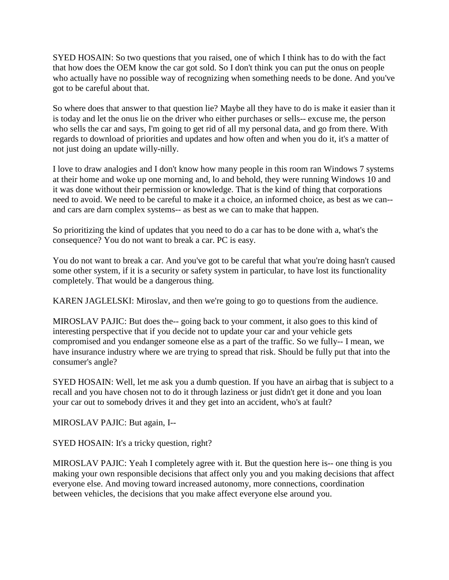SYED HOSAIN: So two questions that you raised, one of which I think has to do with the fact that how does the OEM know the car got sold. So I don't think you can put the onus on people who actually have no possible way of recognizing when something needs to be done. And you've got to be careful about that.

So where does that answer to that question lie? Maybe all they have to do is make it easier than it is today and let the onus lie on the driver who either purchases or sells-- excuse me, the person who sells the car and says, I'm going to get rid of all my personal data, and go from there. With regards to download of priorities and updates and how often and when you do it, it's a matter of not just doing an update willy-nilly.

I love to draw analogies and I don't know how many people in this room ran Windows 7 systems at their home and woke up one morning and, lo and behold, they were running Windows 10 and it was done without their permission or knowledge. That is the kind of thing that corporations need to avoid. We need to be careful to make it a choice, an informed choice, as best as we can- and cars are darn complex systems-- as best as we can to make that happen.

So prioritizing the kind of updates that you need to do a car has to be done with a, what's the consequence? You do not want to break a car. PC is easy.

You do not want to break a car. And you've got to be careful that what you're doing hasn't caused some other system, if it is a security or safety system in particular, to have lost its functionality completely. That would be a dangerous thing.

KAREN JAGLELSKI: Miroslav, and then we're going to go to questions from the audience.

MIROSLAV PAJIC: But does the-- going back to your comment, it also goes to this kind of interesting perspective that if you decide not to update your car and your vehicle gets compromised and you endanger someone else as a part of the traffic. So we fully-- I mean, we have insurance industry where we are trying to spread that risk. Should be fully put that into the consumer's angle?

SYED HOSAIN: Well, let me ask you a dumb question. If you have an airbag that is subject to a recall and you have chosen not to do it through laziness or just didn't get it done and you loan your car out to somebody drives it and they get into an accident, who's at fault?

MIROSLAV PAJIC: But again, I--

SYED HOSAIN: It's a tricky question, right?

MIROSLAV PAJIC: Yeah I completely agree with it. But the question here is-- one thing is you making your own responsible decisions that affect only you and you making decisions that affect everyone else. And moving toward increased autonomy, more connections, coordination between vehicles, the decisions that you make affect everyone else around you.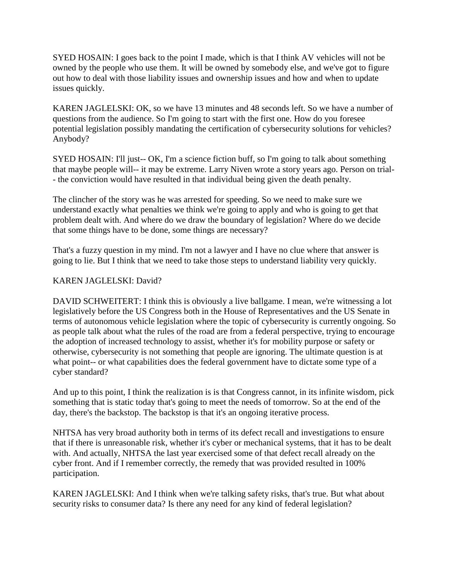SYED HOSAIN: I goes back to the point I made, which is that I think AV vehicles will not be owned by the people who use them. It will be owned by somebody else, and we've got to figure out how to deal with those liability issues and ownership issues and how and when to update issues quickly.

KAREN JAGLELSKI: OK, so we have 13 minutes and 48 seconds left. So we have a number of questions from the audience. So I'm going to start with the first one. How do you foresee potential legislation possibly mandating the certification of cybersecurity solutions for vehicles? Anybody?

SYED HOSAIN: I'll just-- OK, I'm a science fiction buff, so I'm going to talk about something that maybe people will-- it may be extreme. Larry Niven wrote a story years ago. Person on trial- - the conviction would have resulted in that individual being given the death penalty.

The clincher of the story was he was arrested for speeding. So we need to make sure we understand exactly what penalties we think we're going to apply and who is going to get that problem dealt with. And where do we draw the boundary of legislation? Where do we decide that some things have to be done, some things are necessary?

That's a fuzzy question in my mind. I'm not a lawyer and I have no clue where that answer is going to lie. But I think that we need to take those steps to understand liability very quickly.

## KAREN JAGLELSKI: David?

DAVID SCHWEITERT: I think this is obviously a live ballgame. I mean, we're witnessing a lot legislatively before the US Congress both in the House of Representatives and the US Senate in terms of autonomous vehicle legislation where the topic of cybersecurity is currently ongoing. So as people talk about what the rules of the road are from a federal perspective, trying to encourage the adoption of increased technology to assist, whether it's for mobility purpose or safety or otherwise, cybersecurity is not something that people are ignoring. The ultimate question is at what point-- or what capabilities does the federal government have to dictate some type of a cyber standard?

And up to this point, I think the realization is is that Congress cannot, in its infinite wisdom, pick something that is static today that's going to meet the needs of tomorrow. So at the end of the day, there's the backstop. The backstop is that it's an ongoing iterative process.

NHTSA has very broad authority both in terms of its defect recall and investigations to ensure that if there is unreasonable risk, whether it's cyber or mechanical systems, that it has to be dealt with. And actually, NHTSA the last year exercised some of that defect recall already on the cyber front. And if I remember correctly, the remedy that was provided resulted in 100% participation.

KAREN JAGLELSKI: And I think when we're talking safety risks, that's true. But what about security risks to consumer data? Is there any need for any kind of federal legislation?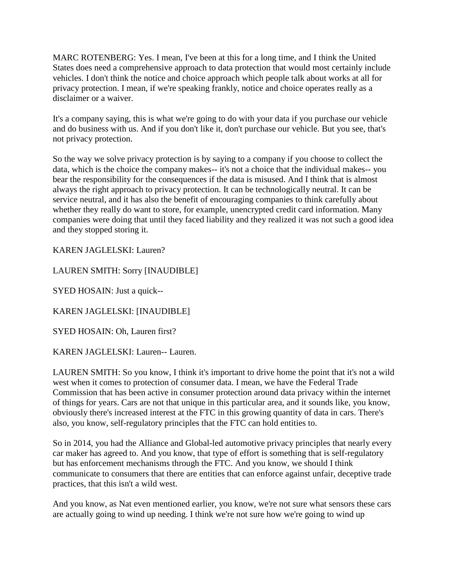MARC ROTENBERG: Yes. I mean, I've been at this for a long time, and I think the United States does need a comprehensive approach to data protection that would most certainly include vehicles. I don't think the notice and choice approach which people talk about works at all for privacy protection. I mean, if we're speaking frankly, notice and choice operates really as a disclaimer or a waiver.

It's a company saying, this is what we're going to do with your data if you purchase our vehicle and do business with us. And if you don't like it, don't purchase our vehicle. But you see, that's not privacy protection.

So the way we solve privacy protection is by saying to a company if you choose to collect the data, which is the choice the company makes-- it's not a choice that the individual makes-- you bear the responsibility for the consequences if the data is misused. And I think that is almost always the right approach to privacy protection. It can be technologically neutral. It can be service neutral, and it has also the benefit of encouraging companies to think carefully about whether they really do want to store, for example, unencrypted credit card information. Many companies were doing that until they faced liability and they realized it was not such a good idea and they stopped storing it.

KAREN JAGLELSKI: Lauren?

LAUREN SMITH: Sorry [INAUDIBLE]

SYED HOSAIN: Just a quick--

KAREN JAGLELSKI: [INAUDIBLE]

SYED HOSAIN: Oh, Lauren first?

KAREN JAGLELSKI: Lauren-- Lauren.

LAUREN SMITH: So you know, I think it's important to drive home the point that it's not a wild west when it comes to protection of consumer data. I mean, we have the Federal Trade Commission that has been active in consumer protection around data privacy within the internet of things for years. Cars are not that unique in this particular area, and it sounds like, you know, obviously there's increased interest at the FTC in this growing quantity of data in cars. There's also, you know, self-regulatory principles that the FTC can hold entities to.

So in 2014, you had the Alliance and Global-led automotive privacy principles that nearly every car maker has agreed to. And you know, that type of effort is something that is self-regulatory but has enforcement mechanisms through the FTC. And you know, we should I think communicate to consumers that there are entities that can enforce against unfair, deceptive trade practices, that this isn't a wild west.

And you know, as Nat even mentioned earlier, you know, we're not sure what sensors these cars are actually going to wind up needing. I think we're not sure how we're going to wind up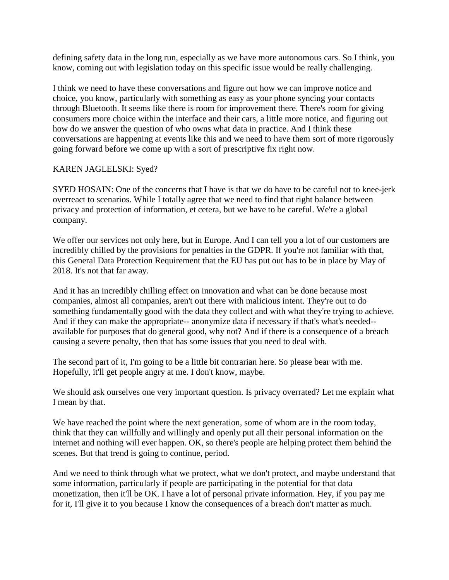defining safety data in the long run, especially as we have more autonomous cars. So I think, you know, coming out with legislation today on this specific issue would be really challenging.

I think we need to have these conversations and figure out how we can improve notice and choice, you know, particularly with something as easy as your phone syncing your contacts through Bluetooth. It seems like there is room for improvement there. There's room for giving consumers more choice within the interface and their cars, a little more notice, and figuring out how do we answer the question of who owns what data in practice. And I think these conversations are happening at events like this and we need to have them sort of more rigorously going forward before we come up with a sort of prescriptive fix right now.

# KAREN JAGLELSKI: Syed?

SYED HOSAIN: One of the concerns that I have is that we do have to be careful not to knee-jerk overreact to scenarios. While I totally agree that we need to find that right balance between privacy and protection of information, et cetera, but we have to be careful. We're a global company.

We offer our services not only here, but in Europe. And I can tell you a lot of our customers are incredibly chilled by the provisions for penalties in the GDPR. If you're not familiar with that, this General Data Protection Requirement that the EU has put out has to be in place by May of 2018. It's not that far away.

And it has an incredibly chilling effect on innovation and what can be done because most companies, almost all companies, aren't out there with malicious intent. They're out to do something fundamentally good with the data they collect and with what they're trying to achieve. And if they can make the appropriate-- anonymize data if necessary if that's what's needed- available for purposes that do general good, why not? And if there is a consequence of a breach causing a severe penalty, then that has some issues that you need to deal with.

The second part of it, I'm going to be a little bit contrarian here. So please bear with me. Hopefully, it'll get people angry at me. I don't know, maybe.

We should ask ourselves one very important question. Is privacy overrated? Let me explain what I mean by that.

We have reached the point where the next generation, some of whom are in the room today, think that they can willfully and willingly and openly put all their personal information on the internet and nothing will ever happen. OK, so there's people are helping protect them behind the scenes. But that trend is going to continue, period.

And we need to think through what we protect, what we don't protect, and maybe understand that some information, particularly if people are participating in the potential for that data monetization, then it'll be OK. I have a lot of personal private information. Hey, if you pay me for it, I'll give it to you because I know the consequences of a breach don't matter as much.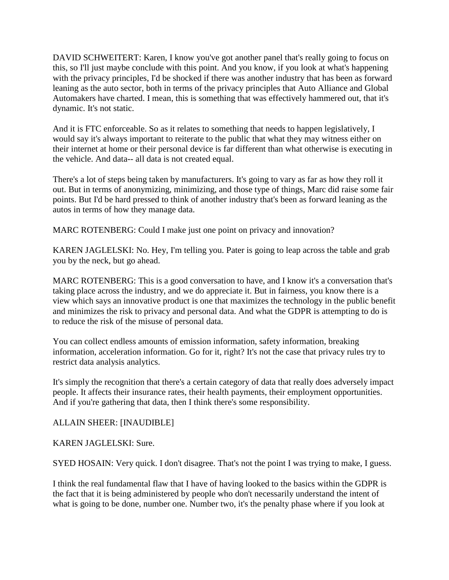DAVID SCHWEITERT: Karen, I know you've got another panel that's really going to focus on this, so I'll just maybe conclude with this point. And you know, if you look at what's happening with the privacy principles, I'd be shocked if there was another industry that has been as forward leaning as the auto sector, both in terms of the privacy principles that Auto Alliance and Global Automakers have charted. I mean, this is something that was effectively hammered out, that it's dynamic. It's not static.

And it is FTC enforceable. So as it relates to something that needs to happen legislatively, I would say it's always important to reiterate to the public that what they may witness either on their internet at home or their personal device is far different than what otherwise is executing in the vehicle. And data-- all data is not created equal.

There's a lot of steps being taken by manufacturers. It's going to vary as far as how they roll it out. But in terms of anonymizing, minimizing, and those type of things, Marc did raise some fair points. But I'd be hard pressed to think of another industry that's been as forward leaning as the autos in terms of how they manage data.

MARC ROTENBERG: Could I make just one point on privacy and innovation?

KAREN JAGLELSKI: No. Hey, I'm telling you. Pater is going to leap across the table and grab you by the neck, but go ahead.

MARC ROTENBERG: This is a good conversation to have, and I know it's a conversation that's taking place across the industry, and we do appreciate it. But in fairness, you know there is a view which says an innovative product is one that maximizes the technology in the public benefit and minimizes the risk to privacy and personal data. And what the GDPR is attempting to do is to reduce the risk of the misuse of personal data.

You can collect endless amounts of emission information, safety information, breaking information, acceleration information. Go for it, right? It's not the case that privacy rules try to restrict data analysis analytics.

It's simply the recognition that there's a certain category of data that really does adversely impact people. It affects their insurance rates, their health payments, their employment opportunities. And if you're gathering that data, then I think there's some responsibility.

ALLAIN SHEER: [INAUDIBLE]

KAREN JAGLELSKI: Sure.

SYED HOSAIN: Very quick. I don't disagree. That's not the point I was trying to make, I guess.

I think the real fundamental flaw that I have of having looked to the basics within the GDPR is the fact that it is being administered by people who don't necessarily understand the intent of what is going to be done, number one. Number two, it's the penalty phase where if you look at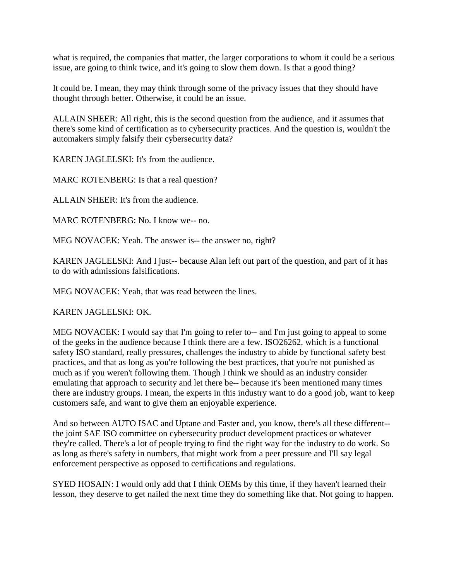what is required, the companies that matter, the larger corporations to whom it could be a serious issue, are going to think twice, and it's going to slow them down. Is that a good thing?

It could be. I mean, they may think through some of the privacy issues that they should have thought through better. Otherwise, it could be an issue.

ALLAIN SHEER: All right, this is the second question from the audience, and it assumes that there's some kind of certification as to cybersecurity practices. And the question is, wouldn't the automakers simply falsify their cybersecurity data?

KAREN JAGLELSKI: It's from the audience.

MARC ROTENBERG: Is that a real question?

ALLAIN SHEER: It's from the audience.

MARC ROTENBERG: No. I know we-- no.

MEG NOVACEK: Yeah. The answer is-- the answer no, right?

KAREN JAGLELSKI: And I just-- because Alan left out part of the question, and part of it has to do with admissions falsifications.

MEG NOVACEK: Yeah, that was read between the lines.

KAREN JAGLELSKI: OK.

MEG NOVACEK: I would say that I'm going to refer to-- and I'm just going to appeal to some of the geeks in the audience because I think there are a few. ISO26262, which is a functional safety ISO standard, really pressures, challenges the industry to abide by functional safety best practices, and that as long as you're following the best practices, that you're not punished as much as if you weren't following them. Though I think we should as an industry consider emulating that approach to security and let there be-- because it's been mentioned many times there are industry groups. I mean, the experts in this industry want to do a good job, want to keep customers safe, and want to give them an enjoyable experience.

And so between AUTO ISAC and Uptane and Faster and, you know, there's all these different- the joint SAE ISO committee on cybersecurity product development practices or whatever they're called. There's a lot of people trying to find the right way for the industry to do work. So as long as there's safety in numbers, that might work from a peer pressure and I'll say legal enforcement perspective as opposed to certifications and regulations.

SYED HOSAIN: I would only add that I think OEMs by this time, if they haven't learned their lesson, they deserve to get nailed the next time they do something like that. Not going to happen.